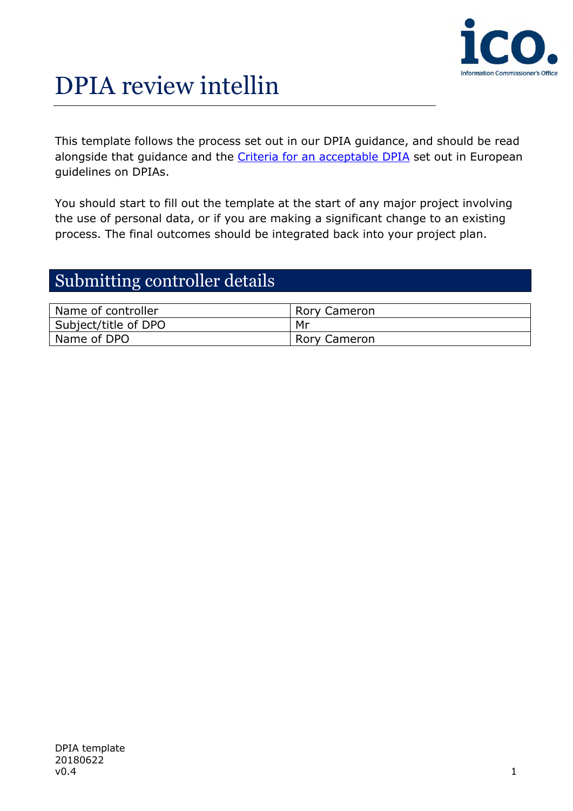

# DPIA review intellin

This template follows the process set out in our DPIA guidance, and should be read alongside that guidance and the Criteria for an acceptable DPIA set out in European guidelines on DPIAs.

You should start to fill out the template at the start of any major project involving the use of personal data, or if you are making a significant change to an existing process. The final outcomes should be integrated back into your project plan.

#### Submitting controller details

| Name of controller   | <b>Rory Cameron</b> |
|----------------------|---------------------|
| Subject/title of DPO | Mr                  |
| Name of DPO          | <b>Rory Cameron</b> |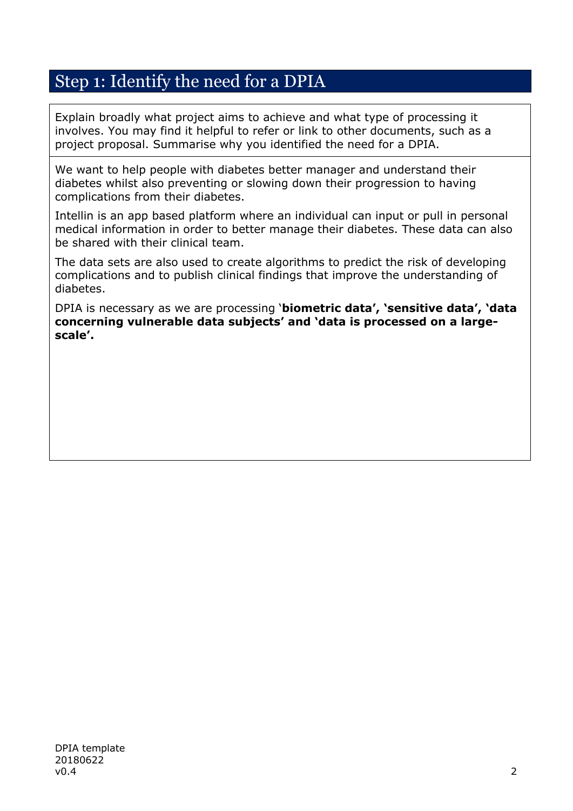### Step 1: Identify the need for a DPIA

Explain broadly what project aims to achieve and what type of processing it involves. You may find it helpful to refer or link to other documents, such as a project proposal. Summarise why you identified the need for a DPIA.

We want to help people with diabetes better manager and understand their diabetes whilst also preventing or slowing down their progression to having complications from their diabetes.

Intellin is an app based platform where an individual can input or pull in personal medical information in order to better manage their diabetes. These data can also be shared with their clinical team.

The data sets are also used to create algorithms to predict the risk of developing complications and to publish clinical findings that improve the understanding of diabetes.

DPIA is necessary as we are processing '**biometric data', 'sensitive data', 'data concerning vulnerable data subjects' and 'data is processed on a largescale'.**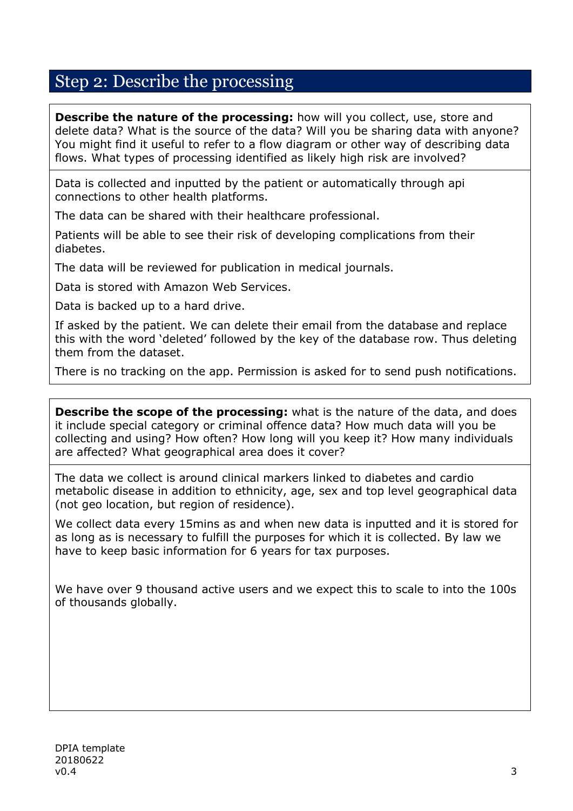### Step 2: Describe the processing

**Describe the nature of the processing:** how will you collect, use, store and delete data? What is the source of the data? Will you be sharing data with anyone? You might find it useful to refer to a flow diagram or other way of describing data flows. What types of processing identified as likely high risk are involved?

Data is collected and inputted by the patient or automatically through api connections to other health platforms.

The data can be shared with their healthcare professional.

Patients will be able to see their risk of developing complications from their diabetes.

The data will be reviewed for publication in medical journals.

Data is stored with Amazon Web Services.

Data is backed up to a hard drive.

If asked by the patient. We can delete their email from the database and replace this with the word 'deleted' followed by the key of the database row. Thus deleting them from the dataset.

There is no tracking on the app. Permission is asked for to send push notifications.

**Describe the scope of the processing:** what is the nature of the data, and does it include special category or criminal offence data? How much data will you be collecting and using? How often? How long will you keep it? How many individuals are affected? What geographical area does it cover?

The data we collect is around clinical markers linked to diabetes and cardio metabolic disease in addition to ethnicity, age, sex and top level geographical data (not geo location, but region of residence).

We collect data every 15mins as and when new data is inputted and it is stored for as long as is necessary to fulfill the purposes for which it is collected. By law we have to keep basic information for 6 years for tax purposes.

We have over 9 thousand active users and we expect this to scale to into the 100s of thousands globally.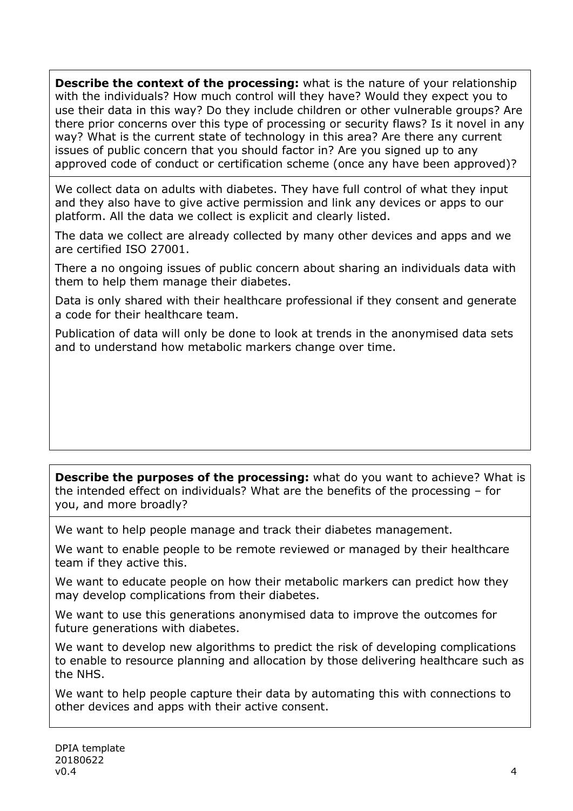**Describe the context of the processing:** what is the nature of your relationship with the individuals? How much control will they have? Would they expect you to use their data in this way? Do they include children or other vulnerable groups? Are there prior concerns over this type of processing or security flaws? Is it novel in any way? What is the current state of technology in this area? Are there any current issues of public concern that you should factor in? Are you signed up to any approved code of conduct or certification scheme (once any have been approved)?

We collect data on adults with diabetes. They have full control of what they input and they also have to give active permission and link any devices or apps to our platform. All the data we collect is explicit and clearly listed.

The data we collect are already collected by many other devices and apps and we are certified ISO 27001.

There a no ongoing issues of public concern about sharing an individuals data with them to help them manage their diabetes.

Data is only shared with their healthcare professional if they consent and generate a code for their healthcare team.

Publication of data will only be done to look at trends in the anonymised data sets and to understand how metabolic markers change over time.

**Describe the purposes of the processing:** what do you want to achieve? What is the intended effect on individuals? What are the benefits of the processing – for you, and more broadly?

We want to help people manage and track their diabetes management.

We want to enable people to be remote reviewed or managed by their healthcare team if they active this.

We want to educate people on how their metabolic markers can predict how they may develop complications from their diabetes.

We want to use this generations anonymised data to improve the outcomes for future generations with diabetes.

We want to develop new algorithms to predict the risk of developing complications to enable to resource planning and allocation by those delivering healthcare such as the NHS.

We want to help people capture their data by automating this with connections to other devices and apps with their active consent.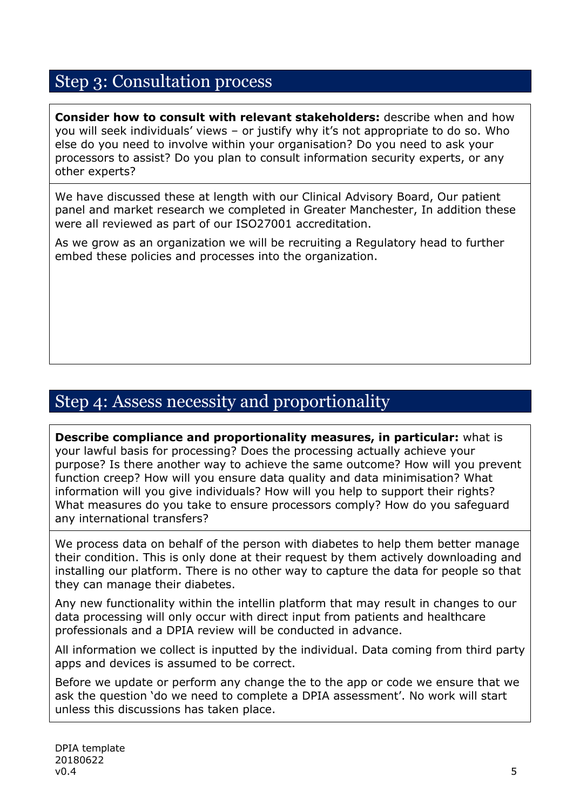### Step 3: Consultation process

**Consider how to consult with relevant stakeholders:** describe when and how you will seek individuals' views – or justify why it's not appropriate to do so. Who else do you need to involve within your organisation? Do you need to ask your processors to assist? Do you plan to consult information security experts, or any other experts?

We have discussed these at length with our Clinical Advisory Board, Our patient panel and market research we completed in Greater Manchester, In addition these were all reviewed as part of our ISO27001 accreditation.

As we grow as an organization we will be recruiting a Regulatory head to further embed these policies and processes into the organization.

#### Step 4: Assess necessity and proportionality

**Describe compliance and proportionality measures, in particular:** what is your lawful basis for processing? Does the processing actually achieve your purpose? Is there another way to achieve the same outcome? How will you prevent function creep? How will you ensure data quality and data minimisation? What information will you give individuals? How will you help to support their rights? What measures do you take to ensure processors comply? How do you safeguard any international transfers?

We process data on behalf of the person with diabetes to help them better manage their condition. This is only done at their request by them actively downloading and installing our platform. There is no other way to capture the data for people so that they can manage their diabetes.

Any new functionality within the intellin platform that may result in changes to our data processing will only occur with direct input from patients and healthcare professionals and a DPIA review will be conducted in advance.

All information we collect is inputted by the individual. Data coming from third party apps and devices is assumed to be correct.

Before we update or perform any change the to the app or code we ensure that we ask the question 'do we need to complete a DPIA assessment'. No work will start unless this discussions has taken place.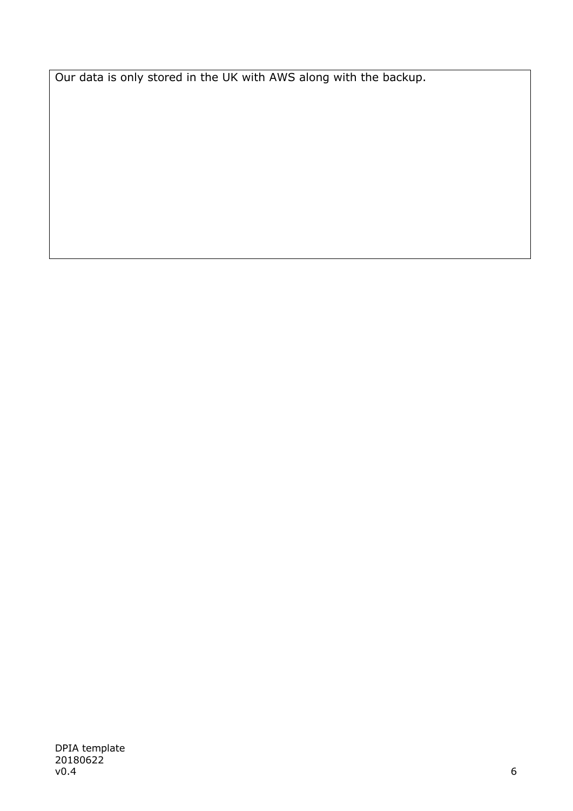Our data is only stored in the UK with AWS along with the backup.

DPIA template 20180622 v0.4  $\,$  6  $\,$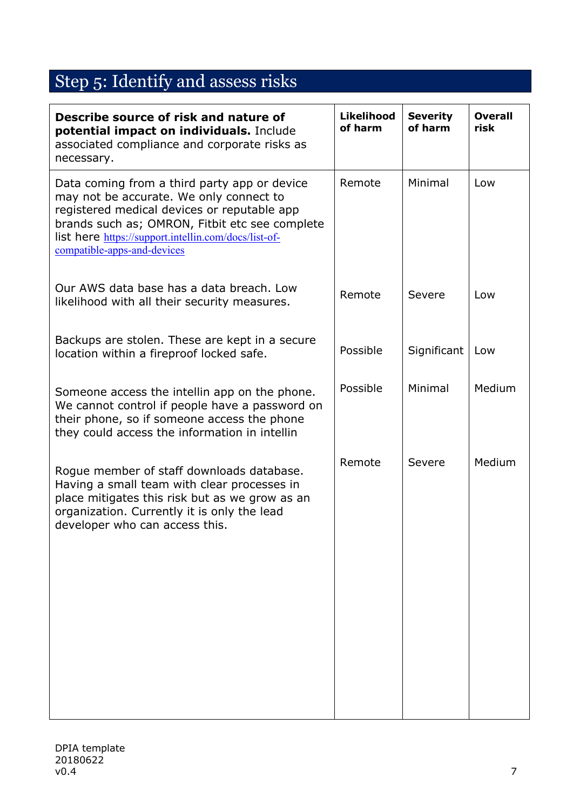## Step 5: Identify and assess risks

| <b>Likelihood</b><br>of harm | <b>Severity</b><br>of harm | <b>Overall</b><br>risk |
|------------------------------|----------------------------|------------------------|
| Remote                       | Minimal                    | Low                    |
| Remote                       | Severe                     | Low                    |
| Possible                     | Significant                | Low                    |
| Possible                     | Minimal                    | Medium                 |
| Remote                       | Severe                     | Medium                 |
|                              |                            |                        |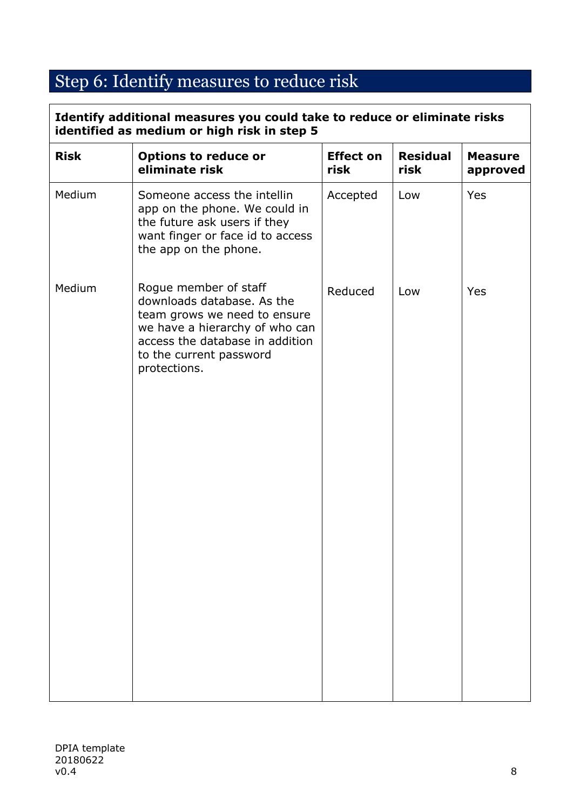# Step 6: Identify measures to reduce risk

| <b>Risk</b> | <b>Options to reduce or</b><br>eliminate risk                                                                                                                                                       | <b>Effect on</b><br>risk | <b>Residual</b><br>risk | <b>Measure</b><br>approved |
|-------------|-----------------------------------------------------------------------------------------------------------------------------------------------------------------------------------------------------|--------------------------|-------------------------|----------------------------|
| Medium      | Someone access the intellin<br>app on the phone. We could in<br>the future ask users if they<br>want finger or face id to access<br>the app on the phone.                                           | Accepted                 | Low                     | Yes                        |
| Medium      | Rogue member of staff<br>downloads database. As the<br>team grows we need to ensure<br>we have a hierarchy of who can<br>access the database in addition<br>to the current password<br>protections. | Reduced                  | Low                     | <b>Yes</b>                 |